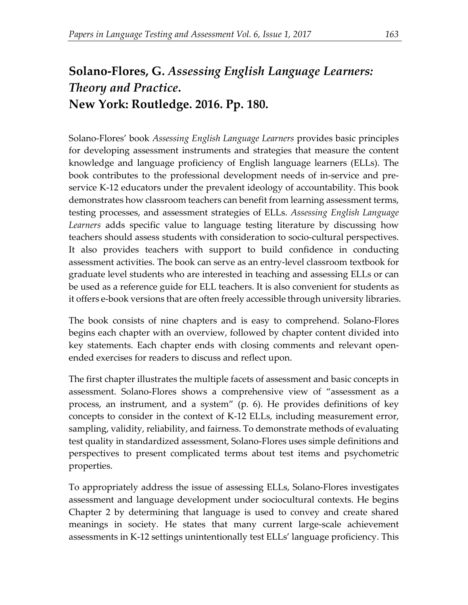## **Solano-Flores, G.** *Assessing English Language Learners: Theory and Practice***. New York: Routledge. 2016. Pp. 180.**

Solano-Flores' book *Assessing English Language Learners* provides basic principles for developing assessment instruments and strategies that measure the content knowledge and language proficiency of English language learners (ELLs). The book contributes to the professional development needs of in-service and preservice K-12 educators under the prevalent ideology of accountability. This book demonstrates how classroom teachers can benefit from learning assessment terms, testing processes, and assessment strategies of ELLs. *Assessing English Language Learners* adds specific value to language testing literature by discussing how teachers should assess students with consideration to socio-cultural perspectives. It also provides teachers with support to build confidence in conducting assessment activities. The book can serve as an entry-level classroom textbook for graduate level students who are interested in teaching and assessing ELLs or can be used as a reference guide for ELL teachers. It is also convenient for students as it offers e-book versions that are often freely accessible through university libraries.

The book consists of nine chapters and is easy to comprehend. Solano-Flores begins each chapter with an overview, followed by chapter content divided into key statements. Each chapter ends with closing comments and relevant openended exercises for readers to discuss and reflect upon.

The first chapter illustrates the multiple facets of assessment and basic concepts in assessment. Solano-Flores shows a comprehensive view of "assessment as a process, an instrument, and a system" (p. 6). He provides definitions of key concepts to consider in the context of K-12 ELLs, including measurement error, sampling, validity, reliability, and fairness. To demonstrate methods of evaluating test quality in standardized assessment, Solano-Flores uses simple definitions and perspectives to present complicated terms about test items and psychometric properties.

To appropriately address the issue of assessing ELLs, Solano-Flores investigates assessment and language development under sociocultural contexts. He begins Chapter 2 by determining that language is used to convey and create shared meanings in society. He states that many current large-scale achievement assessments in K-12 settings unintentionally test ELLs' language proficiency. This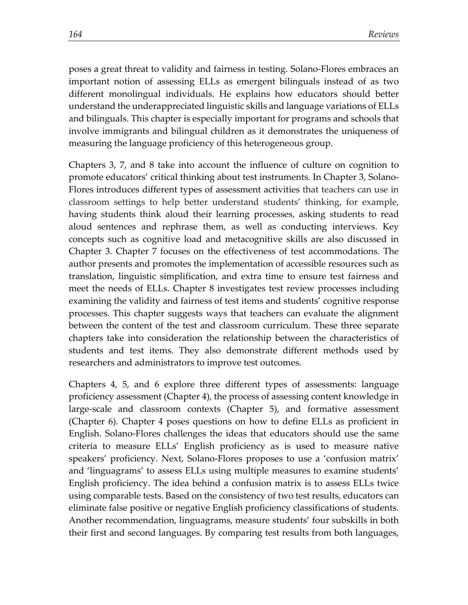poses a great threat to validity and fairness in testing. Solano-Flores embraces an important notion of assessing ELLs as emergent bilinguals instead of as two different monolingual individuals. He explains how educators should better understand the underappreciated linguistic skills and language variations of ELLs and bilinguals. This chapter is especially important for programs and schools that involve immigrants and bilingual children as it demonstrates the uniqueness of measuring the language proficiency of this heterogeneous group.

Chapters 3, 7, and 8 take into account the influence of culture on cognition to promote educators' critical thinking about test instruments. In Chapter 3, Solano-Flores introduces different types of assessment activities that teachers can use in classroom settings to help better understand students' thinking, for example, having students think aloud their learning processes, asking students to read aloud sentences and rephrase them, as well as conducting interviews. Key concepts such as cognitive load and metacognitive skills are also discussed in Chapter 3. Chapter 7 focuses on the effectiveness of test accommodations. The author presents and promotes the implementation of accessible resources such as translation, linguistic simplification, and extra time to ensure test fairness and meet the needs of ELLs. Chapter 8 investigates test review processes including examining the validity and fairness of test items and students' cognitive response processes. This chapter suggests ways that teachers can evaluate the alignment between the content of the test and classroom curriculum. These three separate chapters take into consideration the relationship between the characteristics of students and test items. They also demonstrate different methods used by researchers and administrators to improve test outcomes.

Chapters 4, 5, and 6 explore three different types of assessments: language proficiency assessment (Chapter 4), the process of assessing content knowledge in large-scale and classroom contexts (Chapter 5), and formative assessment (Chapter 6). Chapter 4 poses questions on how to define ELLs as proficient in English. Solano-Flores challenges the ideas that educators should use the same criteria to measure ELLs' English proficiency as is used to measure native speakers' proficiency. Next, Solano-Flores proposes to use a 'confusion matrix' and 'linguagrams' to assess ELLs using multiple measures to examine students' English proficiency. The idea behind a confusion matrix is to assess ELLs twice using comparable tests. Based on the consistency of two test results, educators can eliminate false positive or negative English proficiency classifications of students. Another recommendation, linguagrams, measure students' four subskills in both their first and second languages. By comparing test results from both languages,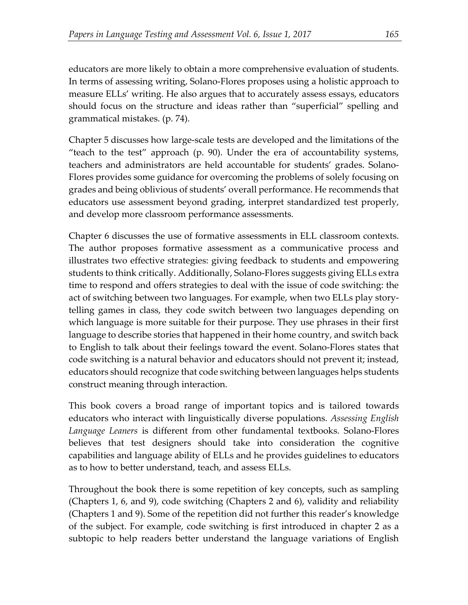educators are more likely to obtain a more comprehensive evaluation of students. In terms of assessing writing, Solano-Flores proposes using a holistic approach to measure ELLs' writing. He also argues that to accurately assess essays, educators should focus on the structure and ideas rather than "superficial" spelling and grammatical mistakes. (p. 74).

Chapter 5 discusses how large-scale tests are developed and the limitations of the "teach to the test" approach (p. 90). Under the era of accountability systems, teachers and administrators are held accountable for students' grades. Solano-Flores provides some guidance for overcoming the problems of solely focusing on grades and being oblivious of students' overall performance. He recommends that educators use assessment beyond grading, interpret standardized test properly, and develop more classroom performance assessments.

Chapter 6 discusses the use of formative assessments in ELL classroom contexts. The author proposes formative assessment as a communicative process and illustrates two effective strategies: giving feedback to students and empowering students to think critically. Additionally, Solano-Flores suggests giving ELLs extra time to respond and offers strategies to deal with the issue of code switching: the act of switching between two languages. For example, when two ELLs play storytelling games in class, they code switch between two languages depending on which language is more suitable for their purpose. They use phrases in their first language to describe stories that happened in their home country, and switch back to English to talk about their feelings toward the event. Solano-Flores states that code switching is a natural behavior and educators should not prevent it; instead, educators should recognize that code switching between languages helps students construct meaning through interaction.

This book covers a broad range of important topics and is tailored towards educators who interact with linguistically diverse populations. *Assessing English Language Leaners* is different from other fundamental textbooks. Solano-Flores believes that test designers should take into consideration the cognitive capabilities and language ability of ELLs and he provides guidelines to educators as to how to better understand, teach, and assess ELLs.

Throughout the book there is some repetition of key concepts, such as sampling (Chapters 1, 6, and 9), code switching (Chapters 2 and 6), validity and reliability (Chapters 1 and 9). Some of the repetition did not further this reader's knowledge of the subject. For example, code switching is first introduced in chapter 2 as a subtopic to help readers better understand the language variations of English